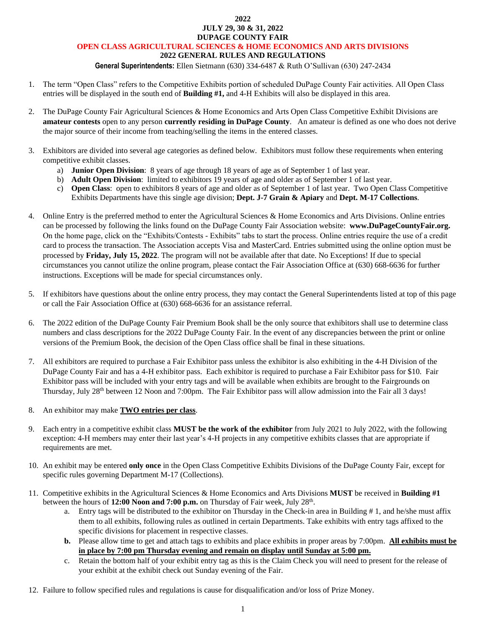#### **2022 JULY 29, 30 & 31, 2022 DUPAGE COUNTY FAIR**

### **OPEN CLASS AGRICULTURAL SCIENCES & HOME ECONOMICS AND ARTS DIVISIONS**

### **2022 GENERAL RULES AND REGULATIONS**

#### **General Superintendents:** Ellen Sietmann (630) 334-6487 & Ruth O'Sullivan (630) 247-2434

- 1. The term "Open Class" refers to the Competitive Exhibits portion of scheduled DuPage County Fair activities. All Open Class entries will be displayed in the south end of **Building #1,** and 4-H Exhibits will also be displayed in this area.
- 2. The DuPage County Fair Agricultural Sciences & Home Economics and Arts Open Class Competitive Exhibit Divisions are **amateur contests** open to any person **currently residing in DuPage County**. An amateur is defined as one who does not derive the major source of their income from teaching/selling the items in the entered classes.
- 3. Exhibitors are divided into several age categories as defined below. Exhibitors must follow these requirements when entering competitive exhibit classes.
	- a) **Junior Open Division**: 8 years of age through 18 years of age as of September 1 of last year.
	- b) **Adult Open Division**: limited to exhibitors 19 years of age and older as of September 1 of last year.
	- c) **Open Class**: open to exhibitors 8 years of age and older as of September 1 of last year. Two Open Class Competitive Exhibits Departments have this single age division; **Dept. J-7 Grain & Apiary** and **Dept. M-17 Collections**.
- 4. Online Entry is the preferred method to enter the Agricultural Sciences & Home Economics and Arts Divisions. Online entries can be processed by following the links found on the DuPage County Fair Association website: **www.DuPageCountyFair.org.** On the home page, click on the "Exhibits/Contests - Exhibits" tabs to start the process. Online entries require the use of a credit card to process the transaction. The Association accepts Visa and MasterCard. Entries submitted using the online option must be processed by **Friday, July 15, 2022**. The program will not be available after that date. No Exceptions! If due to special circumstances you cannot utilize the online program, please contact the Fair Association Office at (630) 668-6636 for further instructions. Exceptions will be made for special circumstances only.
- 5. If exhibitors have questions about the online entry process, they may contact the General Superintendents listed at top of this page or call the Fair Association Office at (630) 668-6636 for an assistance referral.
- 6. The 2022 edition of the DuPage County Fair Premium Book shall be the only source that exhibitors shall use to determine class numbers and class descriptions for the 2022 DuPage County Fair. In the event of any discrepancies between the print or online versions of the Premium Book, the decision of the Open Class office shall be final in these situations.
- 7. All exhibitors are required to purchase a Fair Exhibitor pass unless the exhibitor is also exhibiting in the 4-H Division of the DuPage County Fair and has a 4-H exhibitor pass. Each exhibitor is required to purchase a Fair Exhibitor pass for \$10. Fair Exhibitor pass will be included with your entry tags and will be available when exhibits are brought to the Fairgrounds on Thursday, July 28<sup>th</sup> between 12 Noon and 7:00pm. The Fair Exhibitor pass will allow admission into the Fair all 3 days!
- 8. An exhibitor may make **TWO entries per class**.
- 9. Each entry in a competitive exhibit class **MUST be the work of the exhibitor** from July 2021 to July 2022, with the following exception: 4-H members may enter their last year's 4-H projects in any competitive exhibits classes that are appropriate if requirements are met.
- 10. An exhibit may be entered **only once** in the Open Class Competitive Exhibits Divisions of the DuPage County Fair, except for specific rules governing Department M-17 (Collections).
- 11. Competitive exhibits in the Agricultural Sciences & Home Economics and Arts Divisions **MUST** be received in **Building #1** between the hours of 12:00 Noon and 7:00 p.m. on Thursday of Fair week, July 28<sup>th</sup>.
	- a. Entry tags will be distributed to the exhibitor on Thursday in the Check-in area in Building # 1, and he/she must affix them to all exhibits, following rules as outlined in certain Departments. Take exhibits with entry tags affixed to the specific divisions for placement in respective classes.
	- **b.** Please allow time to get and attach tags to exhibits and place exhibits in proper areas by 7:00pm. **All exhibits must be in place by 7:00 pm Thursday evening and remain on display until Sunday at 5:00 pm.**
	- c. Retain the bottom half of your exhibit entry tag as this is the Claim Check you will need to present for the release of your exhibit at the exhibit check out Sunday evening of the Fair.
- 12. Failure to follow specified rules and regulations is cause for disqualification and/or loss of Prize Money.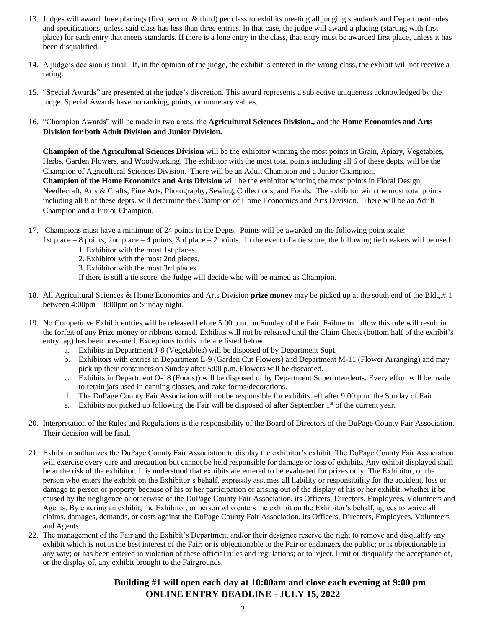- 13. Judges will award three placings (first, second & third) per class to exhibits meeting all judging standards and Department rules and specifications, unless said class has less than three entries. In that case, the judge will award a placing (starting with first place) for each entry that meets standards. If there is a lone entry in the class, that entry must be awarded first place, unless it has been disqualified.
- 14. A judge's decision is final. If, in the opinion of the judge, the exhibit is entered in the wrong class, the exhibit will not receive a rating.
- 15. "Special Awards" are presented at the judge's discretion. This award represents a subjective uniqueness acknowledged by the judge. Special Awards have no ranking, points, or monetary values.
- 16. "Champion Awards" will be made in two areas, the **Agricultural Sciences Division.,** and the **Home Economics and Arts Division for both Adult Division and Junior Division.**

**Champion of the Agricultural Sciences Division** will be the exhibitor winning the most points in Grain, Apiary, Vegetables, Herbs, Garden Flowers, and Woodworking. The exhibitor with the most total points including all 6 of these depts. will be the Champion of Agricultural Sciences Division. There will be an Adult Champion and a Junior Champion.

**Champion of the Home Economics and Arts Division** will be the exhibitor winning the most points in Floral Design, Needlecraft, Arts & Crafts, Fine Arts, Photography, Sewing, Collections, and Foods. The exhibitor with the most total points including all 8 of these depts. will determine the Champion of Home Economics and Arts Division. There will be an Adult Champion and a Junior Champion.

17. Champions must have a minimum of 24 points in the Depts. Points will be awarded on the following point scale:

1st place – 8 points, 2nd place – 4 points, 3rd place – 2 points. In the event of a tie score, the following tie breakers will be used:

- 1. Exhibitor with the most 1st places.
- 2. Exhibitor with the most 2nd places.
- 3. Exhibitor with the most 3rd places.
- If there is still a tie score, the Judge will decide who will be named as Champion.
- 18. All Agricultural Sciences & Home Economics and Arts Division **prize money** may be picked up at the south end of the Bldg.# 1 between 4:00pm – 8:00pm on Sunday night.
- 19. No Competitive Exhibit entries will be released before 5:00 p.m. on Sunday of the Fair. Failure to follow this rule will result in the forfeit of any Prize money or ribbons earned. Exhibits will not be released until the Claim Check (bottom half of the exhibit's entry tag) has been presented. Exceptions to this rule are listed below:
	- a. Exhibits in Department J-8 (Vegetables) will be disposed of by Department Supt.
	- b. Exhibitors with entries in Department L-9 (Garden Cut Flowers) and Department M-11 (Flower Arranging) and may pick up their containers on Sunday after 5:00 p.m. Flowers will be discarded.
	- c. Exhibits in Department O-18 (Foods)) will be disposed of by Department Superintendents. Every effort will be made to retain jars used in canning classes, and cake forms/decorations.
	- d. The DuPage County Fair Association will not be responsible for exhibits left after 9:00 p.m. the Sunday of Fair.
	- e. Exhibits not picked up following the Fair will be disposed of after September  $1<sup>st</sup>$  of the current year.
- 20. Interpretation of the Rules and Regulations is the responsibility of the Board of Directors of the DuPage County Fair Association. Their decision will be final.
- 21. Exhibitor authorizes the DuPage County Fair Association to display the exhibitor's exhibit. The DuPage County Fair Association will exercise every care and precaution but cannot be held responsible for damage or loss of exhibits. Any exhibit displayed shall be at the risk of the exhibitor. It is understood that exhibits are entered to be evaluated for prizes only. The Exhibitor, or the person who enters the exhibit on the Exhibitor's behalf, expressly assumes all liability or responsibility for the accident, loss or damage to person or property because of his or her participation or arising out of the display of his or her exhibit, whether it be caused by the negligence or otherwise of the DuPage County Fair Association, its Officers, Directors, Employees, Volunteers and Agents. By entering an exhibit, the Exhibitor, or person who enters the exhibit on the Exhibitor's behalf, agrees to waive all claims, damages, demands, or costs against the DuPage County Fair Association, its Officers, Directors, Employees, Volunteers and Agents.
- 22. The management of the Fair and the Exhibit's Department and/or their designee reserve the right to remove and disqualify any exhibit which is not in the best interest of the Fair; or is objectionable to the Fair or endangers the public; or is objectionable in any way; or has been entered in violation of these official rules and regulations; or to reject, limit or disqualify the acceptance of, or the display of, any exhibit brought to the Fairgrounds.

# **Building #1 will open each day at 10:00am and close each evening at 9:00 pm ONLINE ENTRY DEADLINE - JULY 15, 2022**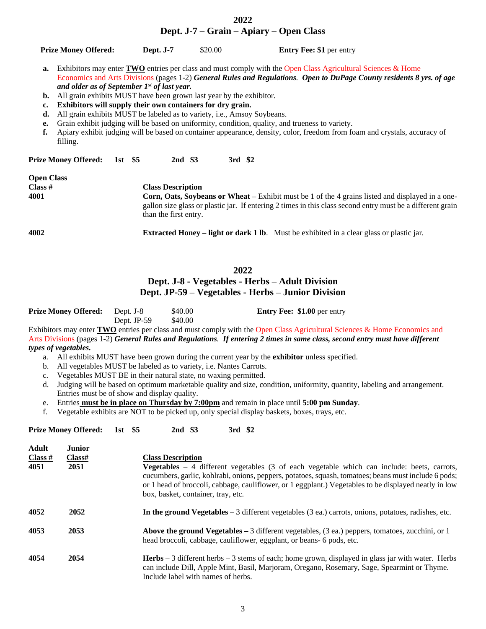|                                        | Dept. J-7 – Grain – Apiary – Open Class                             |          |                                                   |                                                                                 |                                                                                                                                                                                                                                             |  |  |  |  |
|----------------------------------------|---------------------------------------------------------------------|----------|---------------------------------------------------|---------------------------------------------------------------------------------|---------------------------------------------------------------------------------------------------------------------------------------------------------------------------------------------------------------------------------------------|--|--|--|--|
|                                        | <b>Prize Money Offered:</b>                                         |          | Dept. J-7                                         | \$20.00                                                                         | <b>Entry Fee: \$1</b> per entry                                                                                                                                                                                                             |  |  |  |  |
| a.                                     | and older as of September $Ist$ of last year.                       |          |                                                   |                                                                                 | Exhibitors may enter <b>TWO</b> entries per class and must comply with the Open Class Agricultural Sciences & Home<br>Economics and Arts Divisions (pages 1-2) General Rules and Regulations. Open to DuPage County residents 8 yrs. of age |  |  |  |  |
| b.                                     | All grain exhibits MUST have been grown last year by the exhibitor. |          |                                                   |                                                                                 |                                                                                                                                                                                                                                             |  |  |  |  |
| c.                                     |                                                                     |          |                                                   | Exhibitors will supply their own containers for dry grain.                      |                                                                                                                                                                                                                                             |  |  |  |  |
| d.                                     |                                                                     |          |                                                   | All grain exhibits MUST be labeled as to variety, <i>i.e.</i> , Amsoy Soybeans. |                                                                                                                                                                                                                                             |  |  |  |  |
| е.                                     |                                                                     |          |                                                   |                                                                                 | Grain exhibit judging will be based on uniformity, condition, quality, and trueness to variety.                                                                                                                                             |  |  |  |  |
| f.                                     | filling.                                                            |          |                                                   |                                                                                 | Apiary exhibit judging will be based on container appearance, density, color, freedom from foam and crystals, accuracy of                                                                                                                   |  |  |  |  |
|                                        | <b>Prize Money Offered:</b>                                         | 1st $$5$ | 2nd \$3                                           |                                                                                 | 3rd \$2                                                                                                                                                                                                                                     |  |  |  |  |
| <b>Open Class</b><br>$Class #$<br>4001 |                                                                     |          | <b>Class Description</b><br>than the first entry. |                                                                                 | <b>Corn, Oats, Soybeans or Wheat</b> – Exhibit must be 1 of the 4 grains listed and displayed in a one-<br>gallon size glass or plastic jar. If entering 2 times in this class second entry must be a different grain                       |  |  |  |  |

**2022**

**4002 Extracted Honey – light or dark 1 lb**. Must be exhibited in a clear glass or plastic jar.

# **2022**

## **Dept. J-8 - Vegetables - Herbs – Adult Division Dept. JP-59 – Vegetables - Herbs – Junior Division**

| <b>Prize Money Offered:</b> Dept. J-8 |               | \$40.00 | <b>Entry Fee: \$1.00</b> per entry |
|---------------------------------------|---------------|---------|------------------------------------|
|                                       | Dept. $JP-59$ | \$40.00 |                                    |

Exhibitors may enter **TWO** entries per class and must comply with the Open Class Agricultural Sciences & Home Economics and Arts Divisions (pages 1-2) *General Rules and Regulations. If entering 2 times in same class, second entry must have different types of vegetables.*

- a. All exhibits MUST have been grown during the current year by the **exhibitor** unless specified.
- b. All vegetables MUST be labeled as to variety, i.e. Nantes Carrots.
- c. Vegetables MUST BE in their natural state, no waxing permitted.
- d. Judging will be based on optimum marketable quality and size, condition, uniformity, quantity, labeling and arrangement. Entries must be of show and display quality.
- e. Entries **must be in place on Thursday by 7:00pm** and remain in place until **5:00 pm Sunday**.
- f. Vegetable exhibits are NOT to be picked up, only special display baskets, boxes, trays, etc.

**Prize Money Offered: 1st \$5 2nd \$3 3rd \$2**

| <b>Adult</b> | <b>Junior</b> |                                                                                                                                                                                                                                                                                                                                                            |
|--------------|---------------|------------------------------------------------------------------------------------------------------------------------------------------------------------------------------------------------------------------------------------------------------------------------------------------------------------------------------------------------------------|
| Class #      | Class#        | <b>Class Description</b>                                                                                                                                                                                                                                                                                                                                   |
| 4051         | 2051          | <b>Vegetables</b> $-4$ different vegetables (3 of each vegetable which can include: beets, carrots,<br>cucumbers, garlic, kohlrabi, onions, peppers, potatoes, squash, tomatoes; beans must include 6 pods;<br>or 1 head of broccoli, cabbage, cauliflower, or 1 eggplant.) Vegetables to be displayed neatly in low<br>box, basket, container, tray, etc. |
| 4052         | 2052          | In the ground Vegetables – 3 different vegetables (3 ea.) carrots, onions, potatoes, radishes, etc.                                                                                                                                                                                                                                                        |
| 4053         | 2053          | <b>Above the ground Vegetables</b> $-3$ different vegetables, (3 ea.) peppers, tomatoes, zucchini, or 1<br>head broccoli, cabbage, cauliflower, eggplant, or beans- 6 pods, etc.                                                                                                                                                                           |
| 4054         | 2054          | <b>Herbs</b> $-3$ different herbs $-3$ stems of each; home grown, displayed in glass jar with water. Herbs<br>can include Dill, Apple Mint, Basil, Marjoram, Oregano, Rosemary, Sage, Spearmint or Thyme.<br>Include label with names of herbs.                                                                                                            |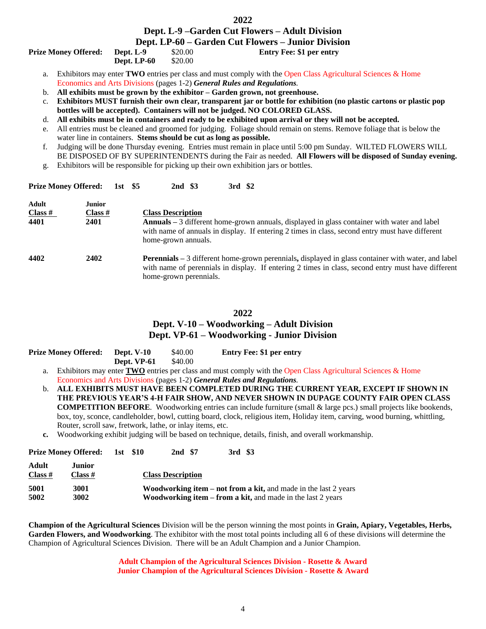#### **2022**

# **Dept. L-9 –Garden Cut Flowers – Adult Division**

### **Dept. LP-60 – Garden Cut Flowers – Junior Division Pept. L-9** \$20.00 **Entry Fee: \$1 per entry**

|  |  | <b>Prize Money Offered:</b> |  |
|--|--|-----------------------------|--|
|--|--|-----------------------------|--|

**Dept. LP-60** \$20.00

- a. Exhibitors may enter **TWO** entries per class and must comply with the Open Class Agricultural Sciences & Home Economics and Arts Divisions (pages 1-2) *General Rules and Regulations.*
- b. **All exhibits must be grown by the exhibitor – Garden grown, not greenhouse.**
- c. **Exhibitors MUST furnish their own clear, transparent jar or bottle for exhibition (no plastic cartons or plastic pop bottles will be accepted). Containers will not be judged. NO COLORED GLASS.**
- d. **All exhibits must be in containers and ready to be exhibited upon arrival or they will not be accepted.**
- e. All entries must be cleaned and groomed for judging. Foliage should remain on stems. Remove foliage that is below the water line in containers. **Stems should be cut as long as possible.**
- f. Judging will be done Thursday evening. Entries must remain in place until 5:00 pm Sunday. WILTED FLOWERS WILL BE DISPOSED OF BY SUPERINTENDENTS during the Fair as needed. **All Flowers will be disposed of Sunday evening.**
- g. Exhibitors will be responsible for picking up their own exhibition jars or bottles.

| <b>Prize Money Offered:</b> |                                  | $1st$ \$5 | 2nd \$3                                         | 3rd \$2                                                                                                                                                                                                         |
|-----------------------------|----------------------------------|-----------|-------------------------------------------------|-----------------------------------------------------------------------------------------------------------------------------------------------------------------------------------------------------------------|
| Adult<br>Class #<br>4401    | <b>Junior</b><br>Class #<br>2401 |           | <b>Class Description</b><br>home-grown annuals. | <b>Annuals</b> – 3 different home-grown annuals, displayed in glass container with water and label<br>with name of annuals in display. If entering 2 times in class, second entry must have different           |
| 4402                        | 2402                             |           | home-grown perennials.                          | <b>Perennials</b> – 3 different home-grown perennials, displayed in glass container with water, and label<br>with name of perennials in display. If entering 2 times in class, second entry must have different |

### **2022**

### **Dept. V-10 – Woodworking – Adult Division Dept. VP-61 – Woodworking - Junior Division**

| <b>Prize Money Offered:</b> | <b>Dept. V-10</b> | \$40.00 | <b>Entry Fee: \$1 per entry</b> |
|-----------------------------|-------------------|---------|---------------------------------|
|                             | Dept. VP-61       | \$40.00 |                                 |

**Prize Money Offered: 1st \$10 2nd \$7 3rd \$3**

- a. Exhibitors may enter **TWO** entries per class and must comply with the Open Class Agricultural Sciences & Home Economics and Arts Divisions (pages 1-2) *General Rules and Regulations.*
- b. **ALL EXHIBITS MUST HAVE BEEN COMPLETED DURING THE CURRENT YEAR, EXCEPT IF SHOWN IN THE PREVIOUS YEAR'S 4-H FAIR SHOW, AND NEVER SHOWN IN DUPAGE COUNTY FAIR OPEN CLASS COMPETITION BEFORE**. Woodworking entries can include furniture (small & large pcs.) small projects like bookends, box, toy, sconce, candleholder, bowl, cutting board, clock, religious item, Holiday item, carving, wood burning, whittling, Router, scroll saw, fretwork, lathe, or inlay items, etc.
- **c.** Woodworking exhibit judging will be based on technique, details, finish, and overall workmanship.

|                    | <b>Prize Money Offered:</b> ISU 510 |  | <u>ли</u> э/             |  | эга ээ                                                                                                                                       |
|--------------------|-------------------------------------|--|--------------------------|--|----------------------------------------------------------------------------------------------------------------------------------------------|
| Adult<br>Class $#$ | Junior<br>Class #                   |  | <b>Class Description</b> |  |                                                                                                                                              |
| 5001<br>5002       | 3001<br>3002                        |  |                          |  | <b>Woodworking item – not from a kit, and made in the last 2 years</b><br><b>Woodworking item – from a kit, and made in the last 2 years</b> |

**Champion of the Agricultural Sciences** Division will be the person winning the most points in **Grain, Apiary, Vegetables, Herbs, Garden Flowers, and Woodworking**. The exhibitor with the most total points including all 6 of these divisions will determine the Champion of Agricultural Sciences Division. There will be an Adult Champion and a Junior Champion.

> **Adult Champion of the Agricultural Sciences Division - Rosette & Award Junior Champion of the Agricultural Sciences Division - Rosette & Award**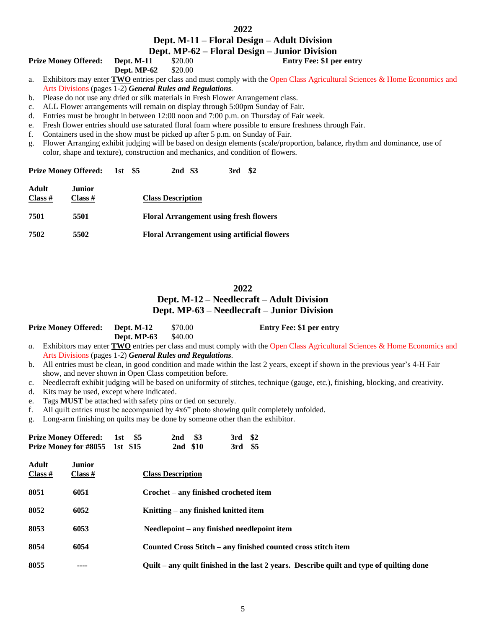# **Dept. M-11 – Floral Design – Adult Division**

## **Dept. MP-62 – Floral Design – Junior Division**

**Prize Money Offered: Dept. M-11** \$20.00 **Entry Fee: \$1 per entry Dept. MP-62** \$20.00

**Dept. MP-62** 

a. Exhibitors may enter **TWO** entries per class and must comply with the Open Class Agricultural Sciences & Home Economics and Arts Divisions (pages 1-2) *General Rules and Regulations.*

- b. Please do not use any dried or silk materials in Fresh Flower Arrangement class.
- c. ALL Flower arrangements will remain on display through 5:00pm Sunday of Fair.
- d. Entries must be brought in between 12:00 noon and 7:00 p.m. on Thursday of Fair week.
- e. Fresh flower entries should use saturated floral foam where possible to ensure freshness through Fair.
- f. Containers used in the show must be picked up after 5 p.m. on Sunday of Fair.
- g. Flower Arranging exhibit judging will be based on design elements (scale/proportion, balance, rhythm and dominance, use of color, shape and texture), construction and mechanics, and condition of flowers.

|                    | <b>Prize Money Offered:</b> 1st \$5 |  | 2nd \$3                  | \$2<br>3rd                                         |  |
|--------------------|-------------------------------------|--|--------------------------|----------------------------------------------------|--|
| Adult<br>Class $#$ | Junior.<br>Class $#$                |  | <b>Class Description</b> |                                                    |  |
| 7501               | 5501                                |  |                          | <b>Floral Arrangement using fresh flowers</b>      |  |
| 7502               | 5502                                |  |                          | <b>Floral Arrangement using artificial flowers</b> |  |

# **2022 Dept. M-12 – Needlecraft – Adult Division Dept. MP-63 – Needlecraft – Junior Division**

|                | <b>Prize Money Offered:</b>                                                                                                    | <b>Dept. M-12</b>    | \$70.00                                                       |                | <b>Entry Fee: \$1 per entry</b>                                                                                                    |  |  |  |  |  |
|----------------|--------------------------------------------------------------------------------------------------------------------------------|----------------------|---------------------------------------------------------------|----------------|------------------------------------------------------------------------------------------------------------------------------------|--|--|--|--|--|
|                |                                                                                                                                | Dept. MP-63          | \$40.00                                                       |                |                                                                                                                                    |  |  |  |  |  |
| $a_{\cdot}$    | Exhibitors may enter $TWO$ entries per class and must comply with the Open Class Agricultural Sciences & Home Economics and    |                      |                                                               |                |                                                                                                                                    |  |  |  |  |  |
|                | Arts Divisions (pages 1-2) General Rules and Regulations.                                                                      |                      |                                                               |                |                                                                                                                                    |  |  |  |  |  |
| $\mathbf{b}$ . | All entries must be clean, in good condition and made within the last 2 years, except if shown in the previous year's 4-H Fair |                      |                                                               |                |                                                                                                                                    |  |  |  |  |  |
|                | show, and never shown in Open Class competition before.                                                                        |                      |                                                               |                |                                                                                                                                    |  |  |  |  |  |
| c.             |                                                                                                                                |                      |                                                               |                | Needlecraft exhibit judging will be based on uniformity of stitches, technique (gauge, etc.), finishing, blocking, and creativity. |  |  |  |  |  |
| d.             | Kits may be used, except where indicated.                                                                                      |                      |                                                               |                |                                                                                                                                    |  |  |  |  |  |
| e.             | Tags MUST be attached with safety pins or tied on securely.                                                                    |                      |                                                               |                |                                                                                                                                    |  |  |  |  |  |
| f.             |                                                                                                                                |                      |                                                               |                | All quilt entries must be accompanied by 4x6" photo showing quilt completely unfolded.                                             |  |  |  |  |  |
| g.             | Long-arm finishing on quilts may be done by someone other than the exhibitor.                                                  |                      |                                                               |                |                                                                                                                                    |  |  |  |  |  |
|                | <b>Prize Money Offered:</b><br><b>Prize Money for #8055</b>                                                                    | 1st $$5$<br>1st \$15 | \$3<br>2nd<br>2nd \$10                                        | 3rd \$2<br>3rd | \$5                                                                                                                                |  |  |  |  |  |
|                | Adult<br><b>Junior</b>                                                                                                         |                      |                                                               |                |                                                                                                                                    |  |  |  |  |  |
|                | Class #<br>Class #                                                                                                             |                      | <b>Class Description</b>                                      |                |                                                                                                                                    |  |  |  |  |  |
|                |                                                                                                                                |                      |                                                               |                |                                                                                                                                    |  |  |  |  |  |
| 8051           | 6051                                                                                                                           |                      | Crochet – any finished crocheted item                         |                |                                                                                                                                    |  |  |  |  |  |
| 8052           | 6052                                                                                                                           |                      | Knitting – any finished knitted item                          |                |                                                                                                                                    |  |  |  |  |  |
| 8053           | 6053                                                                                                                           |                      | Needlepoint – any finished needlepoint item                   |                |                                                                                                                                    |  |  |  |  |  |
| 8054           | 6054                                                                                                                           |                      | Counted Cross Stitch – any finished counted cross stitch item |                |                                                                                                                                    |  |  |  |  |  |
|                |                                                                                                                                |                      |                                                               |                |                                                                                                                                    |  |  |  |  |  |
| 8055           | ----                                                                                                                           |                      |                                                               |                | Quilt – any quilt finished in the last 2 years. Describe quilt and type of quilting done                                           |  |  |  |  |  |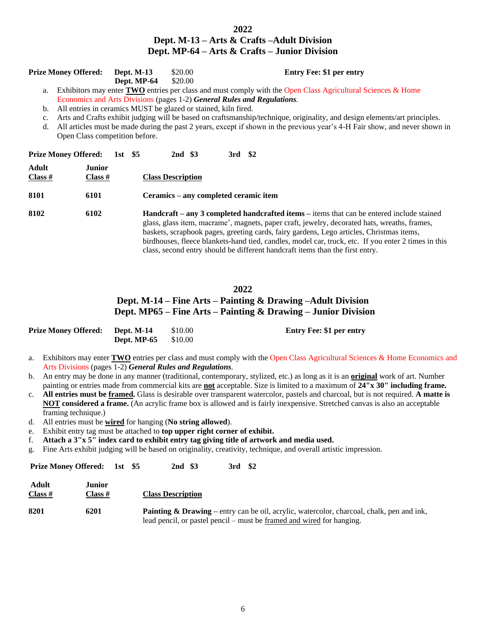### **2022 Dept. M-13 – Arts & Crafts –Adult Division Dept. MP-64 – Arts & Crafts – Junior Division**

| <b>Prize Money Offered:</b>                                                                                    | <b>Dept. M-13</b> | \$20.00 | <b>Entry Fee: \$1 per entry</b> |  |  |  |
|----------------------------------------------------------------------------------------------------------------|-------------------|---------|---------------------------------|--|--|--|
|                                                                                                                | Dept. MP-64       | \$20.00 |                                 |  |  |  |
| a. Exhibitors may enter TWO entries per class and must comply with the Open Class Agricultural Sciences & Home |                   |         |                                 |  |  |  |
| Economics and Arts Divisions (pages 1-2) General Rules and Regulations.                                        |                   |         |                                 |  |  |  |

- b. All entries in ceramics MUST be glazed or stained, kiln fired.
- c. Arts and Crafts exhibit judging will be based on craftsmanship/technique, originality, and design elements/art principles.
- d. All articles must be made during the past 2 years, except if shown in the previous year's 4-H Fair show, and never shown in Open Class competition before.

| <b>Prize Money Offered:</b> |                          | 1st \$5 |  | 2nd \$3                                                                                                                                                                                                                                                                                      |  |  | 3rd \$2 |  |  |
|-----------------------------|--------------------------|---------|--|----------------------------------------------------------------------------------------------------------------------------------------------------------------------------------------------------------------------------------------------------------------------------------------------|--|--|---------|--|--|
| Adult<br>Class #            | <b>Junior</b><br>Class # |         |  | <b>Class Description</b>                                                                                                                                                                                                                                                                     |  |  |         |  |  |
| 8101                        | 6101                     |         |  | Ceramics – any completed ceramic item                                                                                                                                                                                                                                                        |  |  |         |  |  |
| 8102<br>6102                |                          |         |  | <b>Handcraft</b> – any 3 completed handcrafted items – items that can be entered include stained<br>glass, glass item, macrame', magnets, paper craft, jewelry, decorated hats, wreaths, frames,<br>baskets, scrapbook pages, greeting cards, fairy gardens, Lego articles, Christmas items, |  |  |         |  |  |

gardens, Lego articles, Christmas items, birdhouses, fleece blankets-hand tied, candles, model car, truck, etc. If you enter 2 times in this class, second entry should be different handcraft items than the first entry.

### **2022**

## **Dept. M-14 – Fine Arts – Painting & Drawing –Adult Division Dept. MP65 – Fine Arts – Painting & Drawing – Junior Division**

| <b>Prize Money Offered:</b> Dept. M-14 |                             | \$10.00 | <b>Entry Fee: \$1 per entry</b> |
|----------------------------------------|-----------------------------|---------|---------------------------------|
|                                        | <b>Dept. MP-65</b> $$10.00$ |         |                                 |

- a. Exhibitors may enter **TWO** entries per class and must comply with the Open Class Agricultural Sciences & Home Economics and Arts Divisions (pages 1-2) *General Rules and Regulations.*
- b. An entry may be done in any manner (traditional, contemporary, stylized, etc.) as long as it is an **original** work of art. Number painting or entries made from commercial kits are **not** acceptable. Size is limited to a maximum of **24"x 30" including frame.**
- c. **All entries must be framed.** Glass is desirable over transparent watercolor, pastels and charcoal, but is not required. **A matte is NOT considered a frame.** (An acrylic frame box is allowed and is fairly inexpensive. Stretched canvas is also an acceptable framing technique.)
- d. All entries must be **wired** for hanging (**No string allowed**).
- e. Exhibit entry tag must be attached to **top upper right corner of exhibit.**
- f. **Attach a 3"x 5" index card to exhibit entry tag giving title of artwork and media used.**
- g. Fine Arts exhibit judging will be based on originality, creativity, technique, and overall artistic impression.

**Prize Money Offered: 1st \$5 2nd \$3 3rd \$2** 

| Adult<br>Class # | Junior<br>Class # | <b>Class Description</b>                                                                                                                                                             |
|------------------|-------------------|--------------------------------------------------------------------------------------------------------------------------------------------------------------------------------------|
| 8201             | 6201              | <b>Painting &amp; Drawing</b> – entry can be oil, acrylic, watercolor, charcoal, chalk, pen and ink,<br>lead pencil, or pastel pencil – must be <u>framed and wired</u> for hanging. |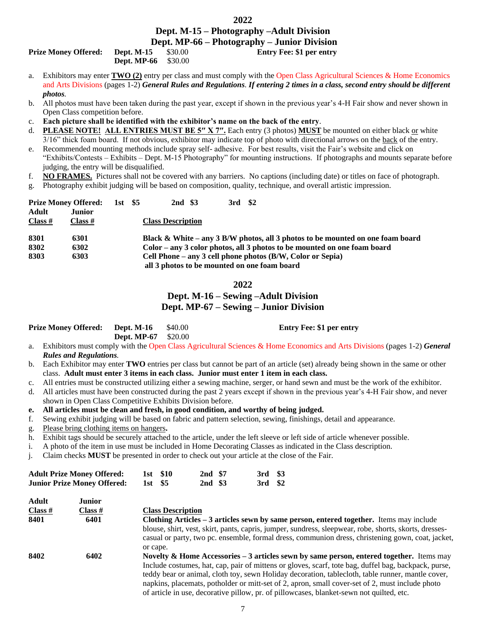### **2022**

# **Dept. M-15 – Photography –Adult Division**

 **Dept. MP-66 – Photography – Junior Division Prize Monet Assume Discrep Entry Fee: \$1 per entry** 

| Prize Money Offered: | Dept. $M-15$ | \$30.00 |
|----------------------|--------------|---------|
|                      | Dept. MP-66  | \$30.00 |

- a. Exhibitors may enter **TWO (2)** entry per class and must comply with the Open Class Agricultural Sciences & Home Economics and Arts Divisions (pages 1-2) *General Rules and Regulations. If entering 2 times in a class, second entry should be different photos.*
- b. All photos must have been taken during the past year, except if shown in the previous year's 4-H Fair show and never shown in Open Class competition before.
- c. **Each picture shall be identified with the exhibitor's name on the back of the entry**.
- d. **PLEASE NOTE! ALL ENTRIES MUST BE 5″ X 7″.** Each entry (3 photos) **MUST** be mounted on either black or white 3/16" thick foam board. If not obvious, exhibitor may indicate top of photo with directional arrows on the back of the entry.
- e. Recommended mounting methods include spray self- adhesive. For best results, visit the Fair's website and click on "Exhibits/Contests – Exhibits – Dept. M-15 Photography" for mounting instructions. If photographs and mounts separate before judging, the entry will be disqualified.
- f. **NO FRAMES.** Pictures shall not be covered with any barriers. No captions (including date) or titles on face of photograph.
- g. Photography exhibit judging will be based on composition, quality, technique, and overall artistic impression.

| Adult<br>Class # | <b>Prize Money Offered:</b><br><b>Junior</b><br>Class # | 1st \$5 | 2nd \$3<br><b>Class Description</b> | 3rd \$2 |                                                                                |
|------------------|---------------------------------------------------------|---------|-------------------------------------|---------|--------------------------------------------------------------------------------|
| 8301             | 6301                                                    |         |                                     |         | Black & White – any 3 B/W photos, all 3 photos to be mounted on one foam board |
| 8302             | 6302                                                    |         |                                     |         | Color – any 3 color photos, all 3 photos to be mounted on one foam board       |
| 8303             | 6303                                                    |         |                                     |         | Cell Phone – any 3 cell phone photos (B/W, Color or Sepia)                     |
|                  |                                                         |         |                                     |         | all 3 photos to be mounted on one foam board                                   |

#### **2022**

### **Dept. M-16 – Sewing –Adult Division Dept. MP-67 – Sewing – Junior Division**

| <b>Prize Money Offered:</b> Dept. M-16 \$40.00 |                            | <b>Entry Fee: \$1 per entry</b> |
|------------------------------------------------|----------------------------|---------------------------------|
|                                                | <b>Dept. MP-67</b> \$20.00 |                                 |

- a. Exhibitors must comply with the Open Class Agricultural Sciences & Home Economics and Arts Divisions (pages 1-2) *General Rules and Regulations.*
- b. Each Exhibitor may enter **TWO** entries per class but cannot be part of an article (set) already being shown in the same or other class. **Adult must enter 3 items in each class. Junior must enter 1 item in each class.**
- c. All entries must be constructed utilizing either a sewing machine, serger, or hand sewn and must be the work of the exhibitor.
- d. All articles must have been constructed during the past 2 years except if shown in the previous year's 4-H Fair show, and never shown in Open Class Competitive Exhibits Division before.

**e. All articles must be clean and fresh, in good condition, and worthy of being judged.**

- f. Sewing exhibit judging will be based on fabric and pattern selection, sewing, finishings, detail and appearance.
- g. Please bring clothing items on hangers**.**

**Adult Junior**

- h. Exhibit tags should be securely attached to the article, under the left sleeve or left side of article whenever possible.
- i. A photo of the item in use must be included in Home Decorating Classes as indicated in the Class description.
- j. Claim checks **MUST** be presented in order to check out your article at the close of the Fair.

| <b>Adult Prize Money Offered:</b>  |         | 1st \$10 | 2nd \$7 | 3rd \$3 |  |
|------------------------------------|---------|----------|---------|---------|--|
| <b>Junior Prize Money Offered:</b> | 1st \$5 |          | 2nd \$3 | 3rd \$2 |  |

| Auun    | Jumvi   |                                                                                                        |
|---------|---------|--------------------------------------------------------------------------------------------------------|
| Class # | Class # | <b>Class Description</b>                                                                               |
| 8401    | 6401    | Clothing Articles – 3 articles sewn by same person, entered together. Items may include                |
|         |         | blouse, shirt, vest, skirt, pants, capris, jumper, sundress, sleepwear, robe, shorts, skorts, dresses- |
|         |         | casual or party, two pc. ensemble, formal dress, communion dress, christening gown, coat, jacket,      |
|         |         | or cape.                                                                                               |
| 8402    | 6402    | Novelty & Home Accessories $-3$ articles sewn by same person, entered together. Items may              |
|         |         | Include costumes, hat, cap, pair of mittens or gloves, scarf, tote bag, duffel bag, backpack, purse,   |
|         |         | teddy bear or animal, cloth toy, sewn Holiday decoration, tablecloth, table runner, mantle cover,      |
|         |         | napkins, placemats, potholder or mitt-set of 2, apron, small cover-set of 2, must include photo        |
|         |         | of article in use, decorative pillow, pr. of pillowcases, blanket-sewn not quilted, etc.               |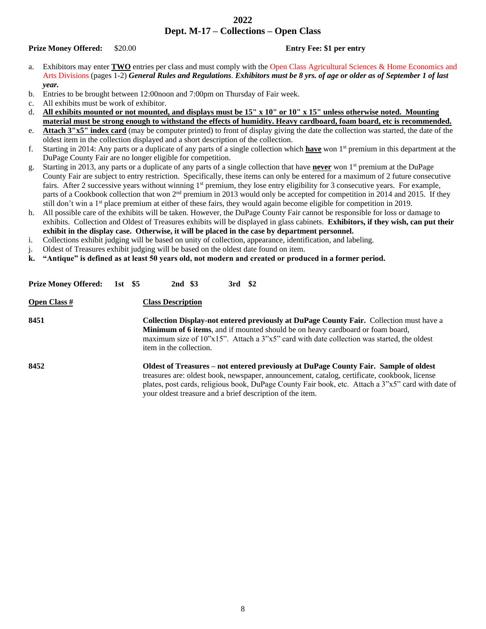### **2022 Dept. M-17 – Collections – Open Class**

**Prize Money Offered:** \$20.00 **Entry Fee: \$1 per entry**

- a. Exhibitors may enter **TWO** entries per class and must comply with the Open Class Agricultural Sciences & Home Economics and Arts Divisions (pages 1-2) *General Rules and Regulations. Exhibitors must be 8 yrs. of age or older as of September 1 of last year.*
- b. Entries to be brought between 12:00noon and 7:00pm on Thursday of Fair week.
- c. All exhibits must be work of exhibitor.
- d. **All exhibits mounted or not mounted, and displays must be 15" x 10" or 10" x 15" unless otherwise noted. Mounting material must be strong enough to withstand the effects of humidity. Heavy cardboard, foam board, etc is recommended.**
- e. **Attach 3"x5" index card** (may be computer printed) to front of display giving the date the collection was started, the date of the oldest item in the collection displayed and a short description of the collection.
- f. Starting in 2014: Any parts or a duplicate of any parts of a single collection which **have** won 1st premium in this department at the DuPage County Fair are no longer eligible for competition.
- g. Starting in 2013, any parts or a duplicate of any parts of a single collection that have **never** won 1st premium at the DuPage County Fair are subject to entry restriction. Specifically, these items can only be entered for a maximum of 2 future consecutive fairs. After 2 successive years without winning 1<sup>st</sup> premium, they lose entry eligibility for 3 consecutive years. For example, parts of a Cookbook collection that won 2<sup>nd</sup> premium in 2013 would only be accepted for competition in 2014 and 2015. If they still don't win a 1<sup>st</sup> place premium at either of these fairs, they would again become eligible for competition in 2019.
- h. All possible care of the exhibits will be taken. However, the DuPage County Fair cannot be responsible for loss or damage to exhibits. Collection and Oldest of Treasures exhibits will be displayed in glass cabinets. **Exhibitors, if they wish, can put their exhibit in the display case. Otherwise, it will be placed in the case by department personnel.**
- i. Collections exhibit judging will be based on unity of collection, appearance, identification, and labeling.
- j. Oldest of Treasures exhibit judging will be based on the oldest date found on item.
- **k. "Antique" is defined as at least 50 years old, not modern and created or produced in a former period.**

| <b>Prize Money Offered:</b> | $1st$ \$5 |                          | 2nd \$3 | $3rd$ \$2 |                                                                                                                                                                                                                                                                                                                                                         |
|-----------------------------|-----------|--------------------------|---------|-----------|---------------------------------------------------------------------------------------------------------------------------------------------------------------------------------------------------------------------------------------------------------------------------------------------------------------------------------------------------------|
| <b>Open Class #</b>         |           | <b>Class Description</b> |         |           |                                                                                                                                                                                                                                                                                                                                                         |
| 8451                        |           | item in the collection.  |         |           | <b>Collection Display-not entered previously at DuPage County Fair.</b> Collection must have a<br><b>Minimum of 6 items,</b> and if mounted should be on heavy cardboard or foam board,<br>maximum size of $10"x15"$ . Attach a $3"x5"$ card with date collection was started, the oldest                                                               |
| 8452                        |           |                          |         |           | Oldest of Treasures – not entered previously at DuPage County Fair. Sample of oldest<br>treasures are: oldest book, newspaper, announcement, catalog, certificate, cookbook, license<br>plates, post cards, religious book, DuPage County Fair book, etc. Attach a 3"x5" card with date of<br>your oldest treasure and a brief description of the item. |